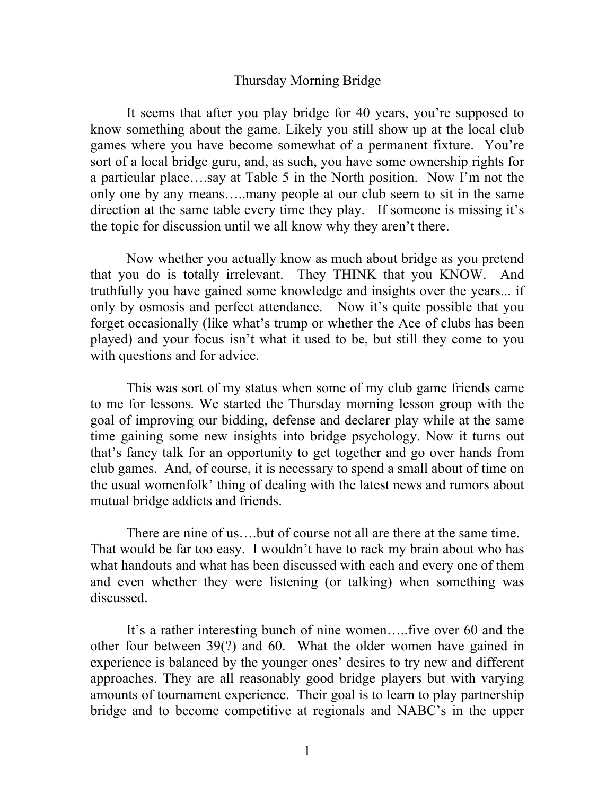## Thursday Morning Bridge

It seems that after you play bridge for 40 years, you're supposed to know something about the game. Likely you still show up at the local club games where you have become somewhat of a permanent fixture. You're sort of a local bridge guru, and, as such, you have some ownership rights for a particular place….say at Table 5 in the North position. Now I'm not the only one by any means…..many people at our club seem to sit in the same direction at the same table every time they play. If someone is missing it's the topic for discussion until we all know why they aren't there.

Now whether you actually know as much about bridge as you pretend that you do is totally irrelevant. They THINK that you KNOW. And truthfully you have gained some knowledge and insights over the years... if only by osmosis and perfect attendance. Now it's quite possible that you forget occasionally (like what's trump or whether the Ace of clubs has been played) and your focus isn't what it used to be, but still they come to you with questions and for advice.

This was sort of my status when some of my club game friends came to me for lessons. We started the Thursday morning lesson group with the goal of improving our bidding, defense and declarer play while at the same time gaining some new insights into bridge psychology. Now it turns out that's fancy talk for an opportunity to get together and go over hands from club games. And, of course, it is necessary to spend a small about of time on the usual womenfolk' thing of dealing with the latest news and rumors about mutual bridge addicts and friends.

There are nine of us….but of course not all are there at the same time. That would be far too easy. I wouldn't have to rack my brain about who has what handouts and what has been discussed with each and every one of them and even whether they were listening (or talking) when something was discussed.

It's a rather interesting bunch of nine women…..five over 60 and the other four between 39(?) and 60. What the older women have gained in experience is balanced by the younger ones' desires to try new and different approaches. They are all reasonably good bridge players but with varying amounts of tournament experience. Their goal is to learn to play partnership bridge and to become competitive at regionals and NABC's in the upper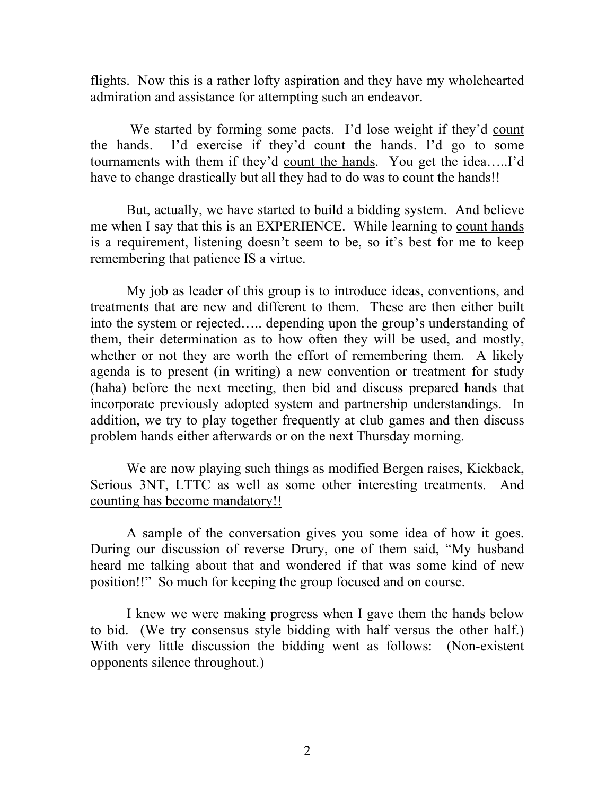flights. Now this is a rather lofty aspiration and they have my wholehearted admiration and assistance for attempting such an endeavor.

We started by forming some pacts. I'd lose weight if they'd count the hands. I'd exercise if they'd count the hands. I'd go to some tournaments with them if they'd count the hands. You get the idea…..I'd have to change drastically but all they had to do was to count the hands!!

But, actually, we have started to build a bidding system. And believe me when I say that this is an EXPERIENCE. While learning to count hands is a requirement, listening doesn't seem to be, so it's best for me to keep remembering that patience IS a virtue.

My job as leader of this group is to introduce ideas, conventions, and treatments that are new and different to them. These are then either built into the system or rejected….. depending upon the group's understanding of them, their determination as to how often they will be used, and mostly, whether or not they are worth the effort of remembering them. A likely agenda is to present (in writing) a new convention or treatment for study (haha) before the next meeting, then bid and discuss prepared hands that incorporate previously adopted system and partnership understandings. In addition, we try to play together frequently at club games and then discuss problem hands either afterwards or on the next Thursday morning.

We are now playing such things as modified Bergen raises, Kickback, Serious 3NT, LTTC as well as some other interesting treatments. And counting has become mandatory!!

A sample of the conversation gives you some idea of how it goes. During our discussion of reverse Drury, one of them said, "My husband heard me talking about that and wondered if that was some kind of new position!!" So much for keeping the group focused and on course.

I knew we were making progress when I gave them the hands below to bid. (We try consensus style bidding with half versus the other half.) With very little discussion the bidding went as follows: (Non-existent opponents silence throughout.)